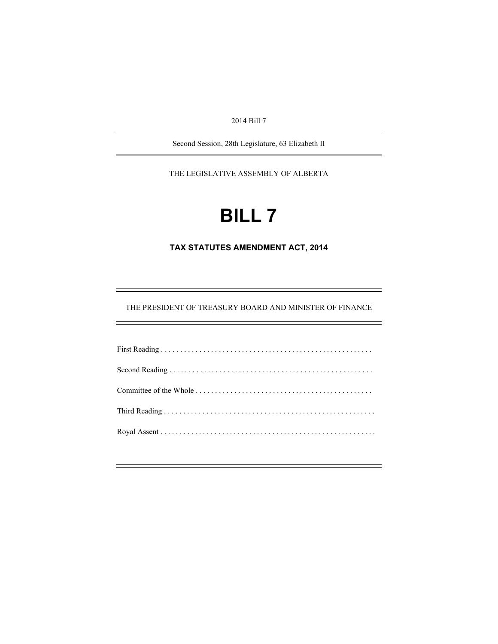2014 Bill 7

Second Session, 28th Legislature, 63 Elizabeth II

THE LEGISLATIVE ASSEMBLY OF ALBERTA

# **BILL 7**

**TAX STATUTES AMENDMENT ACT, 2014** 

THE PRESIDENT OF TREASURY BOARD AND MINISTER OF FINANCE

 $=$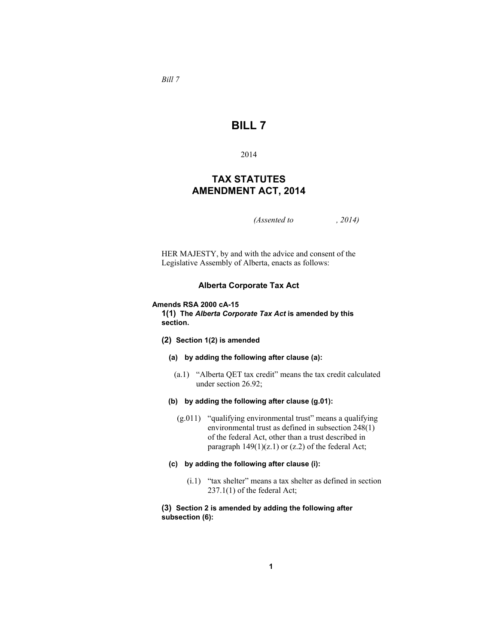*Bill 7* 

# **BILL 7**

2014

# **TAX STATUTES AMENDMENT ACT, 2014**

*(Assented to , 2014)* 

HER MAJESTY, by and with the advice and consent of the Legislative Assembly of Alberta, enacts as follows:

# **Alberta Corporate Tax Act**

#### **Amends RSA 2000 cA-15**

**1(1) The** *Alberta Corporate Tax Act* **is amended by this section.**

- **(2) Section 1(2) is amended**
	- **(a) by adding the following after clause (a):**
		- (a.1) "Alberta QET tax credit" means the tax credit calculated under section 26.92;
	- **(b) by adding the following after clause (g.01):**
		- (g.011) "qualifying environmental trust" means a qualifying environmental trust as defined in subsection 248(1) of the federal Act, other than a trust described in paragraph  $149(1)(z.1)$  or  $(z.2)$  of the federal Act;

#### **(c) by adding the following after clause (i):**

 (i.1) "tax shelter" means a tax shelter as defined in section 237.1(1) of the federal Act;

# **(3) Section 2 is amended by adding the following after subsection (6):**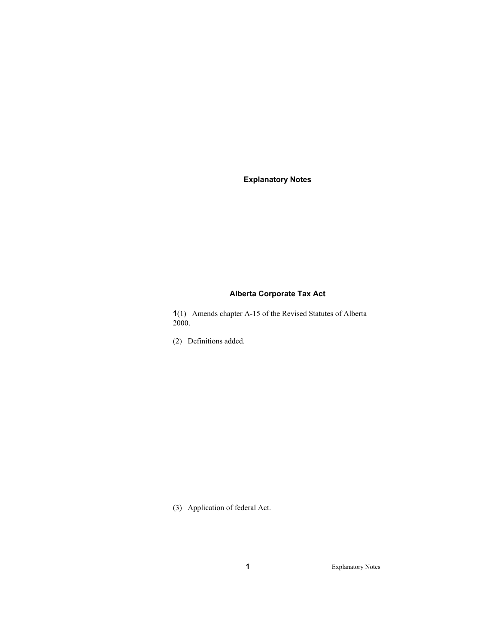**Explanatory Notes** 

# **Alberta Corporate Tax Act**

**1**(1) Amends chapter A-15 of the Revised Statutes of Alberta 2000.

(2) Definitions added.

(3) Application of federal Act.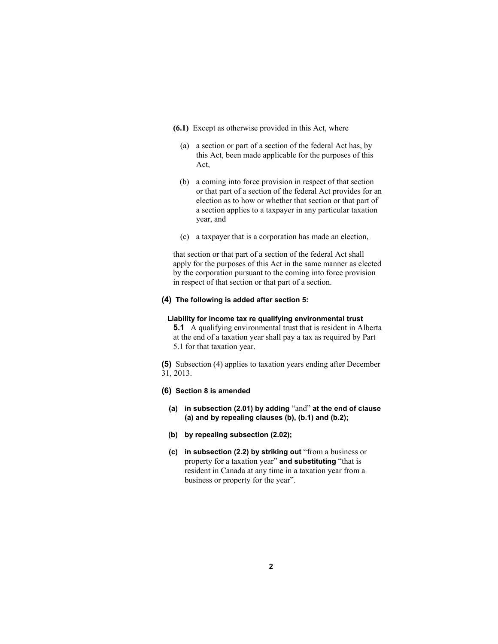- **(6.1)** Except as otherwise provided in this Act, where
	- (a) a section or part of a section of the federal Act has, by this Act, been made applicable for the purposes of this Act,
	- (b) a coming into force provision in respect of that section or that part of a section of the federal Act provides for an election as to how or whether that section or that part of a section applies to a taxpayer in any particular taxation year, and
	- (c) a taxpayer that is a corporation has made an election,

that section or that part of a section of the federal Act shall apply for the purposes of this Act in the same manner as elected by the corporation pursuant to the coming into force provision in respect of that section or that part of a section.

# **(4) The following is added after section 5:**

#### **Liability for income tax re qualifying environmental trust**

**5.1** A qualifying environmental trust that is resident in Alberta at the end of a taxation year shall pay a tax as required by Part 5.1 for that taxation year.

**(5)** Subsection (4) applies to taxation years ending after December 31, 2013.

# **(6) Section 8 is amended**

- **(a) in subsection (2.01) by adding** "and" **at the end of clause (a) and by repealing clauses (b), (b.1) and (b.2);**
- **(b) by repealing subsection (2.02);**
- **(c) in subsection (2.2) by striking out** "from a business or property for a taxation year" **and substituting** "that is resident in Canada at any time in a taxation year from a business or property for the year".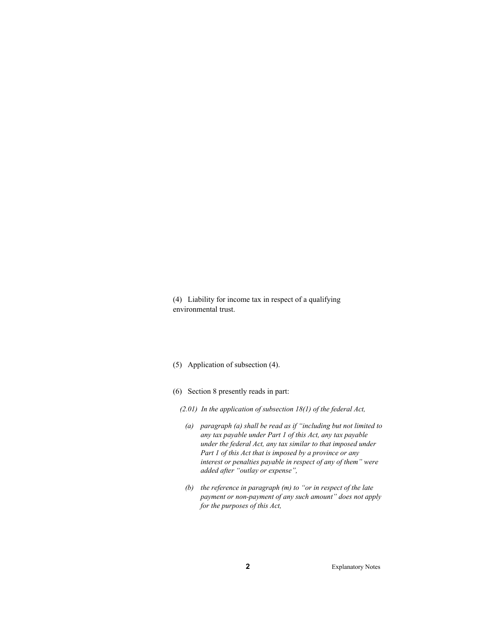(4) Liability for income tax in respect of a qualifying environmental trust.

- (5) Application of subsection (4).
- (6) Section 8 presently reads in part:
	- *(2.01) In the application of subsection 18(1) of the federal Act,* 
		- *(a) paragraph (a) shall be read as if "including but not limited to any tax payable under Part 1 of this Act, any tax payable under the federal Act, any tax similar to that imposed under Part 1 of this Act that is imposed by a province or any interest or penalties payable in respect of any of them" were added after "outlay or expense",*
		- *(b) the reference in paragraph (m) to "or in respect of the late payment or non-payment of any such amount" does not apply for the purposes of this Act,*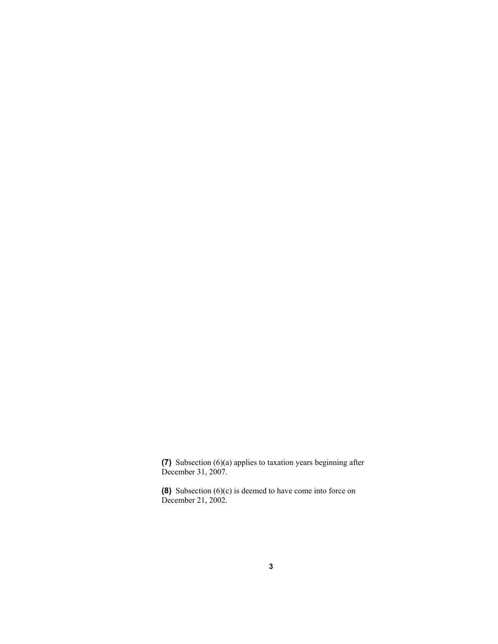**(7)** Subsection (6)(a) applies to taxation years beginning after December 31, 2007.

**(8)** Subsection (6)(c) is deemed to have come into force on December 21, 2002.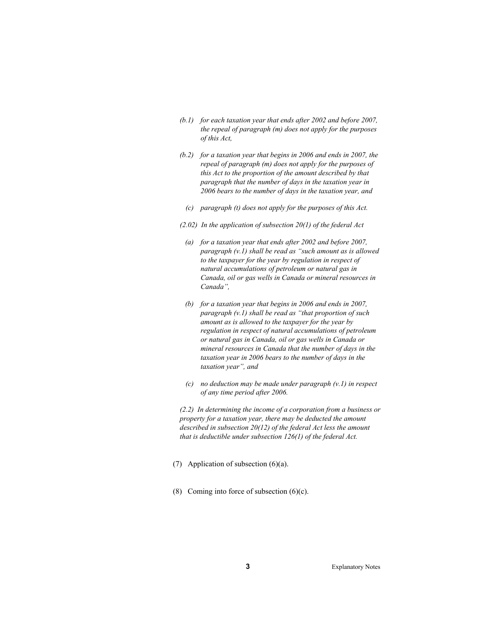- *(b.1) for each taxation year that ends after 2002 and before 2007, the repeal of paragraph (m) does not apply for the purposes of this Act,*
- *(b.2) for a taxation year that begins in 2006 and ends in 2007, the repeal of paragraph (m) does not apply for the purposes of this Act to the proportion of the amount described by that paragraph that the number of days in the taxation year in 2006 bears to the number of days in the taxation year, and* 
	- *(c) paragraph (t) does not apply for the purposes of this Act.*
- *(2.02) In the application of subsection 20(1) of the federal Act*
- *(a) for a taxation year that ends after 2002 and before 2007, paragraph (v.1) shall be read as "such amount as is allowed to the taxpayer for the year by regulation in respect of natural accumulations of petroleum or natural gas in Canada, oil or gas wells in Canada or mineral resources in Canada",*
- *(b) for a taxation year that begins in 2006 and ends in 2007, paragraph (v.1) shall be read as "that proportion of such amount as is allowed to the taxpayer for the year by regulation in respect of natural accumulations of petroleum or natural gas in Canada, oil or gas wells in Canada or mineral resources in Canada that the number of days in the taxation year in 2006 bears to the number of days in the taxation year", and*
- *(c) no deduction may be made under paragraph (v.1) in respect of any time period after 2006.*

*(2.2) In determining the income of a corporation from a business or property for a taxation year, there may be deducted the amount described in subsection 20(12) of the federal Act less the amount that is deductible under subsection 126(1) of the federal Act.* 

- (7) Application of subsection  $(6)(a)$ .
- (8) Coming into force of subsection  $(6)(c)$ .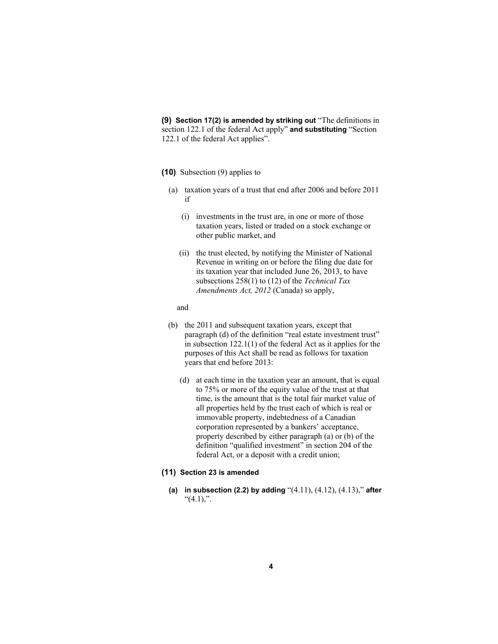**(9) Section 17(2) is amended by striking out** "The definitions in section 122.1 of the federal Act apply" **and substituting** "Section 122.1 of the federal Act applies".

# **(10)** Subsection (9) applies to

- (a) taxation years of a trust that end after 2006 and before 2011 if
	- (i) investments in the trust are, in one or more of those taxation years, listed or traded on a stock exchange or other public market, and
	- (ii) the trust elected, by notifying the Minister of National Revenue in writing on or before the filing due date for its taxation year that included June 26, 2013, to have subsections 258(1) to (12) of the *Technical Tax Amendments Act, 2012* (Canada) so apply,

# and

- (b) the 2011 and subsequent taxation years, except that paragraph (d) of the definition "real estate investment trust" in subsection 122.1(1) of the federal Act as it applies for the purposes of this Act shall be read as follows for taxation years that end before 2013:
	- (d) at each time in the taxation year an amount, that is equal to 75% or more of the equity value of the trust at that time, is the amount that is the total fair market value of all properties held by the trust each of which is real or immovable property, indebtedness of a Canadian corporation represented by a bankers' acceptance, property described by either paragraph (a) or (b) of the definition "qualified investment" in section 204 of the federal Act, or a deposit with a credit union;

#### **(11) Section 23 is amended**

**(a) in subsection (2.2) by adding** "(4.11), (4.12), (4.13)," **after**  " $(4.1)$ ,".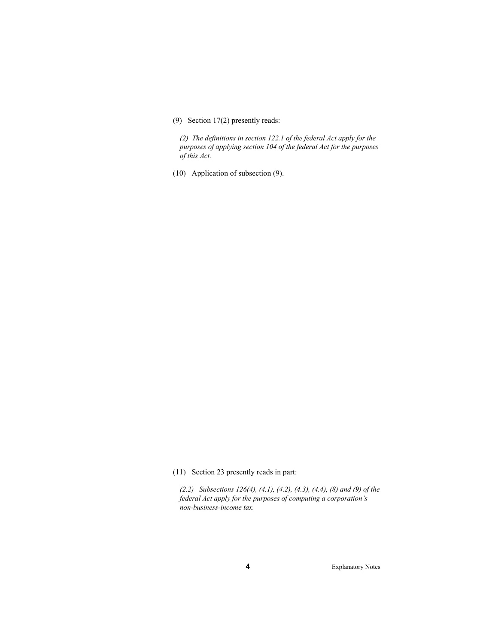# (9) Section 17(2) presently reads:

*(2) The definitions in section 122.1 of the federal Act apply for the purposes of applying section 104 of the federal Act for the purposes of this Act.* 

(10) Application of subsection (9).

(11) Section 23 presently reads in part:

*(2.2) Subsections 126(4), (4.1), (4.2), (4.3), (4.4), (8) and (9) of the federal Act apply for the purposes of computing a corporation's non-business-income tax.*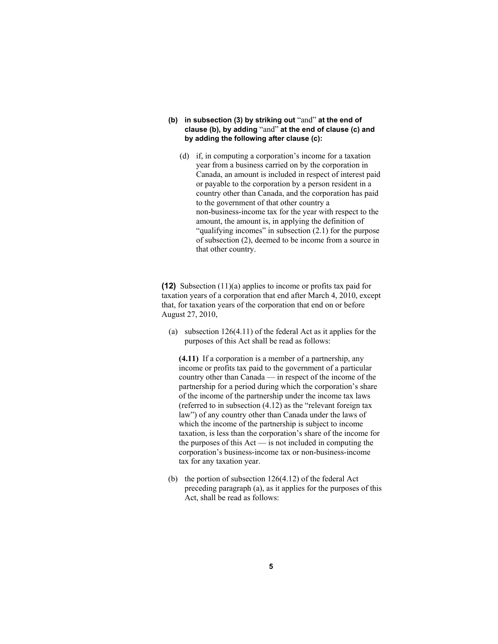- **(b) in subsection (3) by striking out** "and" **at the end of clause (b), by adding** "and" **at the end of clause (c) and by adding the following after clause (c):**
	- (d) if, in computing a corporation's income for a taxation year from a business carried on by the corporation in Canada, an amount is included in respect of interest paid or payable to the corporation by a person resident in a country other than Canada, and the corporation has paid to the government of that other country a non-business-income tax for the year with respect to the amount, the amount is, in applying the definition of "qualifying incomes" in subsection (2.1) for the purpose of subsection (2), deemed to be income from a source in that other country.

**(12)** Subsection (11)(a) applies to income or profits tax paid for taxation years of a corporation that end after March 4, 2010, except that, for taxation years of the corporation that end on or before August 27, 2010,

 (a) subsection 126(4.11) of the federal Act as it applies for the purposes of this Act shall be read as follows:

**(4.11)** If a corporation is a member of a partnership, any income or profits tax paid to the government of a particular country other than Canada — in respect of the income of the partnership for a period during which the corporation's share of the income of the partnership under the income tax laws (referred to in subsection (4.12) as the "relevant foreign tax law") of any country other than Canada under the laws of which the income of the partnership is subject to income taxation, is less than the corporation's share of the income for the purposes of this Act — is not included in computing the corporation's business-income tax or non-business-income tax for any taxation year.

 (b) the portion of subsection 126(4.12) of the federal Act preceding paragraph (a), as it applies for the purposes of this Act, shall be read as follows: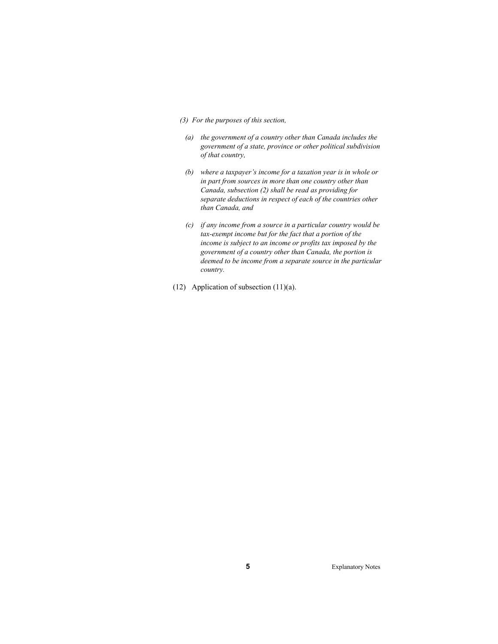- *(3) For the purposes of this section,* 
	- *(a) the government of a country other than Canada includes the government of a state, province or other political subdivision of that country,*
	- *(b) where a taxpayer's income for a taxation year is in whole or in part from sources in more than one country other than Canada, subsection (2) shall be read as providing for separate deductions in respect of each of the countries other than Canada, and*
	- *(c) if any income from a source in a particular country would be tax-exempt income but for the fact that a portion of the income is subject to an income or profits tax imposed by the government of a country other than Canada, the portion is deemed to be income from a separate source in the particular country.*
- (12) Application of subsection (11)(a).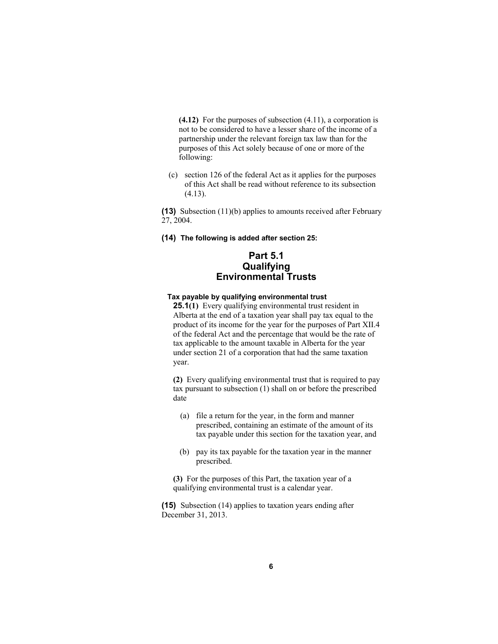**(4.12)** For the purposes of subsection (4.11), a corporation is not to be considered to have a lesser share of the income of a partnership under the relevant foreign tax law than for the purposes of this Act solely because of one or more of the following:

 (c) section 126 of the federal Act as it applies for the purposes of this Act shall be read without reference to its subsection (4.13).

**(13)** Subsection (11)(b) applies to amounts received after February 27, 2004.

**(14) The following is added after section 25:**

# **Part 5.1 Qualifying Environmental Trusts**

# **Tax payable by qualifying environmental trust**

**25.1(1)** Every qualifying environmental trust resident in Alberta at the end of a taxation year shall pay tax equal to the product of its income for the year for the purposes of Part XII.4 of the federal Act and the percentage that would be the rate of tax applicable to the amount taxable in Alberta for the year under section 21 of a corporation that had the same taxation year.

**(2)** Every qualifying environmental trust that is required to pay tax pursuant to subsection (1) shall on or before the prescribed date

- (a) file a return for the year, in the form and manner prescribed, containing an estimate of the amount of its tax payable under this section for the taxation year, and
- (b) pay its tax payable for the taxation year in the manner prescribed.

**(3)** For the purposes of this Part, the taxation year of a qualifying environmental trust is a calendar year.

**(15)** Subsection (14) applies to taxation years ending after December 31, 2013.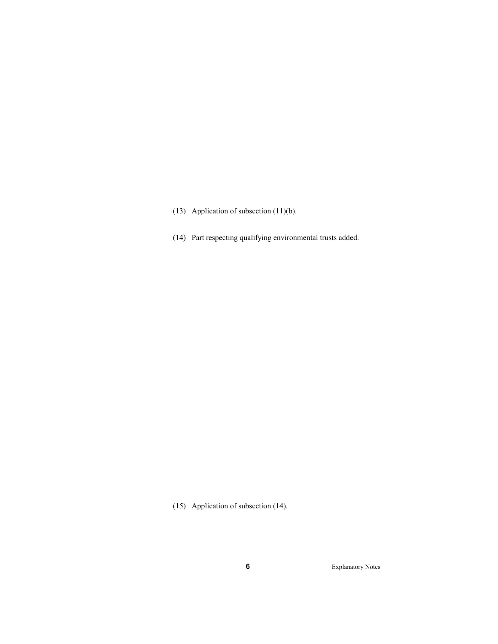- (13) Application of subsection (11)(b).
- (14) Part respecting qualifying environmental trusts added.

(15) Application of subsection (14).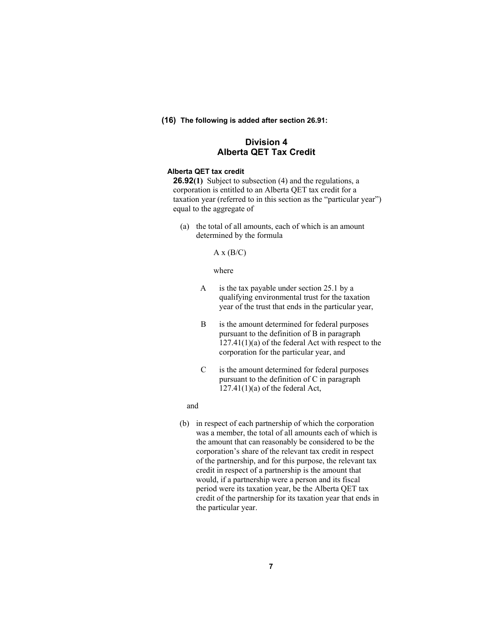**(16) The following is added after section 26.91:**

# **Division 4 Alberta QET Tax Credit**

#### **Alberta QET tax credit**

**26.92(1)** Subject to subsection (4) and the regulations, a corporation is entitled to an Alberta QET tax credit for a taxation year (referred to in this section as the "particular year") equal to the aggregate of

 (a) the total of all amounts, each of which is an amount determined by the formula

#### $A x (B/C)$

#### where

- A is the tax payable under section 25.1 by a qualifying environmental trust for the taxation year of the trust that ends in the particular year,
- B is the amount determined for federal purposes pursuant to the definition of B in paragraph  $127.41(1)(a)$  of the federal Act with respect to the corporation for the particular year, and
- C is the amount determined for federal purposes pursuant to the definition of C in paragraph  $127.41(1)(a)$  of the federal Act,

#### and

 (b) in respect of each partnership of which the corporation was a member, the total of all amounts each of which is the amount that can reasonably be considered to be the corporation's share of the relevant tax credit in respect of the partnership, and for this purpose, the relevant tax credit in respect of a partnership is the amount that would, if a partnership were a person and its fiscal period were its taxation year, be the Alberta QET tax credit of the partnership for its taxation year that ends in the particular year.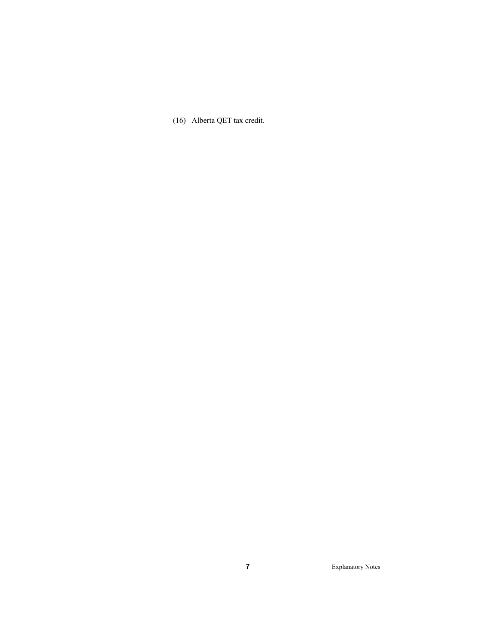(16) Alberta QET tax credit.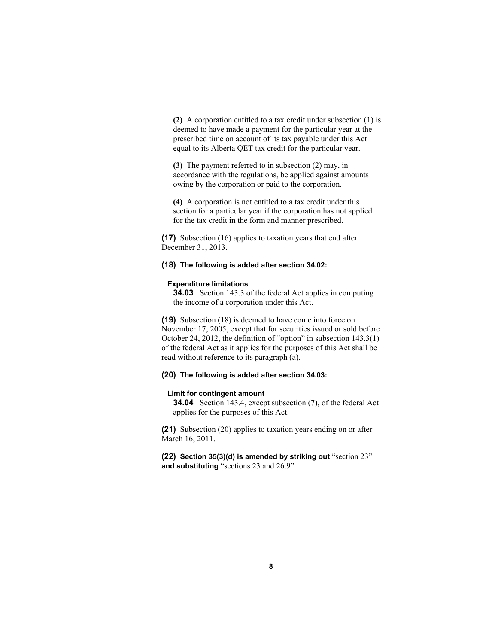**(2)** A corporation entitled to a tax credit under subsection (1) is deemed to have made a payment for the particular year at the prescribed time on account of its tax payable under this Act equal to its Alberta QET tax credit for the particular year.

**(3)** The payment referred to in subsection (2) may, in accordance with the regulations, be applied against amounts owing by the corporation or paid to the corporation.

**(4)** A corporation is not entitled to a tax credit under this section for a particular year if the corporation has not applied for the tax credit in the form and manner prescribed.

**(17)** Subsection (16) applies to taxation years that end after December 31, 2013.

# **(18) The following is added after section 34.02:**

#### **Expenditure limitations**

**34.03** Section 143.3 of the federal Act applies in computing the income of a corporation under this Act.

**(19)** Subsection (18) is deemed to have come into force on November 17, 2005, except that for securities issued or sold before October 24, 2012, the definition of "option" in subsection 143.3(1) of the federal Act as it applies for the purposes of this Act shall be read without reference to its paragraph (a).

# **(20) The following is added after section 34.03:**

#### **Limit for contingent amount**

**34.04** Section 143.4, except subsection (7), of the federal Act applies for the purposes of this Act.

**(21)** Subsection (20) applies to taxation years ending on or after March 16, 2011.

**(22) Section 35(3)(d) is amended by striking out** "section 23" **and substituting** "sections 23 and 26.9".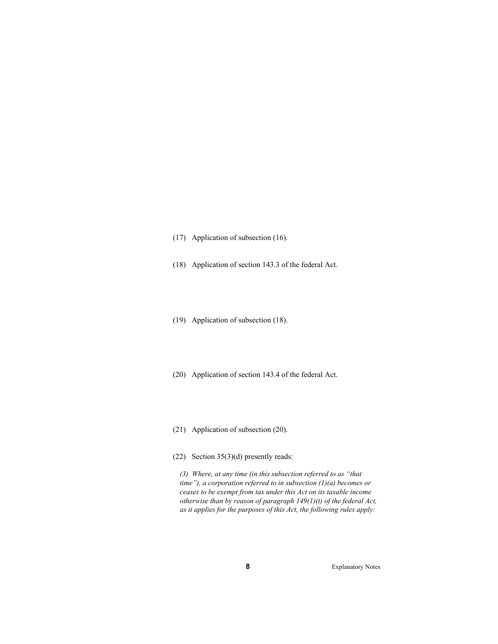(17) Application of subsection (16).

(18) Application of section 143.3 of the federal Act.

(19) Application of subsection (18).

(20) Application of section 143.4 of the federal Act.

(21) Application of subsection (20).

(22) Section 35(3)(d) presently reads:

*(3) Where, at any time (in this subsection referred to as "that time"), a corporation referred to in subsection (1)(a) becomes or ceases to be exempt from tax under this Act on its taxable income otherwise than by reason of paragraph 149(1)(t) of the federal Act, as it applies for the purposes of this Act, the following rules apply:*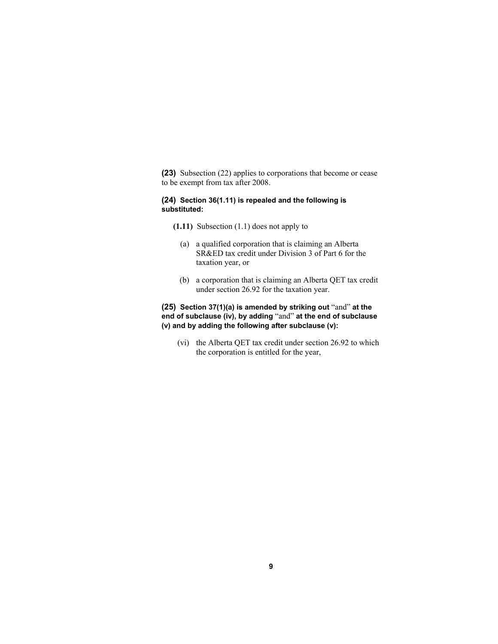**(23)** Subsection (22) applies to corporations that become or cease to be exempt from tax after 2008.

# **(24) Section 36(1.11) is repealed and the following is substituted:**

- **(1.11)** Subsection (1.1) does not apply to
	- (a) a qualified corporation that is claiming an Alberta SR&ED tax credit under Division 3 of Part 6 for the taxation year, or
	- (b) a corporation that is claiming an Alberta QET tax credit under section 26.92 for the taxation year.

# **(25) Section 37(1)(a) is amended by striking out** "and" **at the end of subclause (iv), by adding** "and" **at the end of subclause (v) and by adding the following after subclause (v):**

 (vi) the Alberta QET tax credit under section 26.92 to which the corporation is entitled for the year,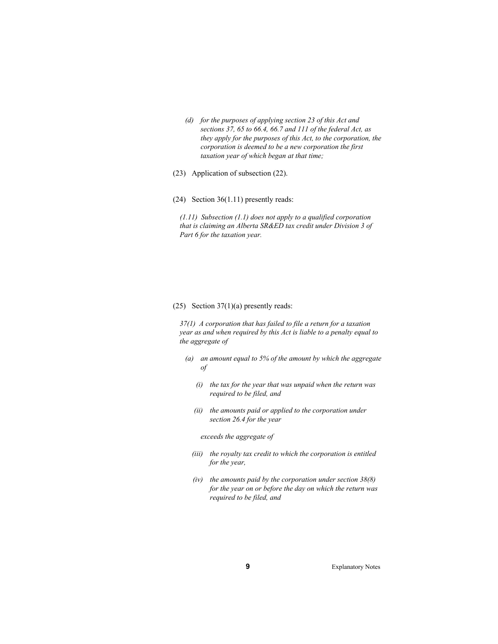- *(d) for the purposes of applying section 23 of this Act and sections 37, 65 to 66.4, 66.7 and 111 of the federal Act, as they apply for the purposes of this Act, to the corporation, the corporation is deemed to be a new corporation the first taxation year of which began at that time;*
- (23) Application of subsection (22).

(24) Section 36(1.11) presently reads:

*(1.11) Subsection (1.1) does not apply to a qualified corporation that is claiming an Alberta SR&ED tax credit under Division 3 of Part 6 for the taxation year.* 

#### (25) Section 37(1)(a) presently reads:

*37(1) A corporation that has failed to file a return for a taxation year as and when required by this Act is liable to a penalty equal to the aggregate of* 

- *(a) an amount equal to 5% of the amount by which the aggregate of* 
	- *(i) the tax for the year that was unpaid when the return was required to be filed, and*
	- *(ii) the amounts paid or applied to the corporation under section 26.4 for the year*

## *exceeds the aggregate of*

- *(iii) the royalty tax credit to which the corporation is entitled for the year,*
- *(iv) the amounts paid by the corporation under section 38(8) for the year on or before the day on which the return was required to be filed, and*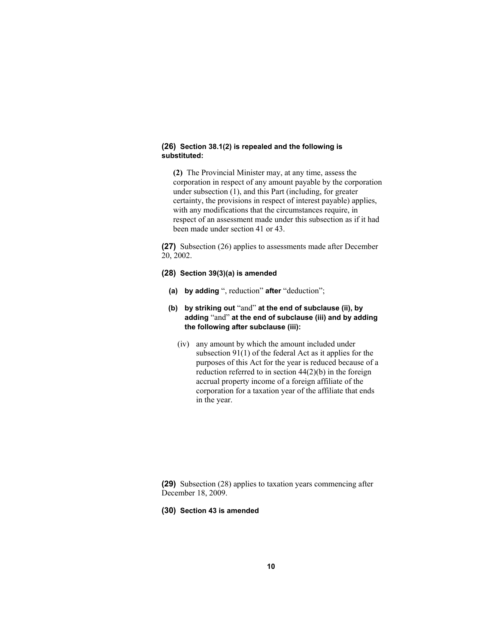#### **(26) Section 38.1(2) is repealed and the following is substituted:**

**(2)** The Provincial Minister may, at any time, assess the corporation in respect of any amount payable by the corporation under subsection (1), and this Part (including, for greater certainty, the provisions in respect of interest payable) applies, with any modifications that the circumstances require, in respect of an assessment made under this subsection as if it had been made under section 41 or 43.

**(27)** Subsection (26) applies to assessments made after December 20, 2002.

# **(28) Section 39(3)(a) is amended**

- **(a) by adding** ", reduction" **after** "deduction";
- **(b) by striking out** "and" **at the end of subclause (ii), by adding** "and" **at the end of subclause (iii) and by adding the following after subclause (iii):**
	- (iv) any amount by which the amount included under subsection 91(1) of the federal Act as it applies for the purposes of this Act for the year is reduced because of a reduction referred to in section  $44(2)(b)$  in the foreign accrual property income of a foreign affiliate of the corporation for a taxation year of the affiliate that ends in the year.

**(29)** Subsection (28) applies to taxation years commencing after December 18, 2009.

#### **(30) Section 43 is amended**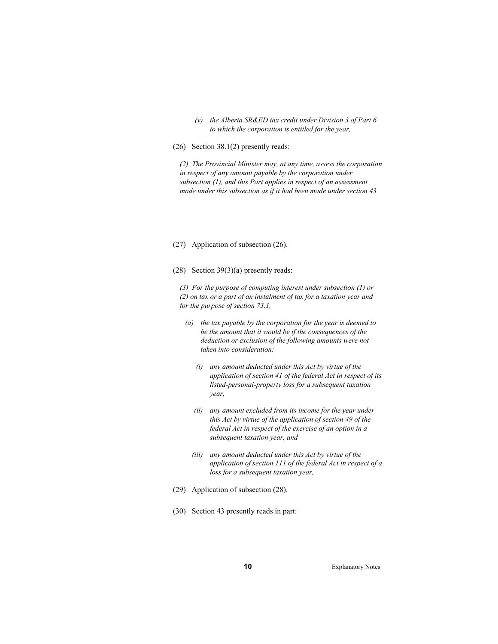- *(v) the Alberta SR&ED tax credit under Division 3 of Part 6 to which the corporation is entitled for the year,*
- (26) Section 38.1(2) presently reads:

*(2) The Provincial Minister may, at any time, assess the corporation in respect of any amount payable by the corporation under subsection (1), and this Part applies in respect of an assessment made under this subsection as if it had been made under section 43.* 

(27) Application of subsection (26).

(28) Section 39(3)(a) presently reads:

*(3) For the purpose of computing interest under subsection (1) or (2) on tax or a part of an instalment of tax for a taxation year and for the purpose of section 73.1,* 

- *(a) the tax payable by the corporation for the year is deemed to be the amount that it would be if the consequences of the deduction or exclusion of the following amounts were not taken into consideration:* 
	- *(i) any amount deducted under this Act by virtue of the application of section 41 of the federal Act in respect of its listed-personal-property loss for a subsequent taxation year,*
	- *(ii) any amount excluded from its income for the year under this Act by virtue of the application of section 49 of the federal Act in respect of the exercise of an option in a subsequent taxation year, and*
	- *(iii) any amount deducted under this Act by virtue of the application of section 111 of the federal Act in respect of a loss for a subsequent taxation year,*
- (29) Application of subsection (28).
- (30) Section 43 presently reads in part: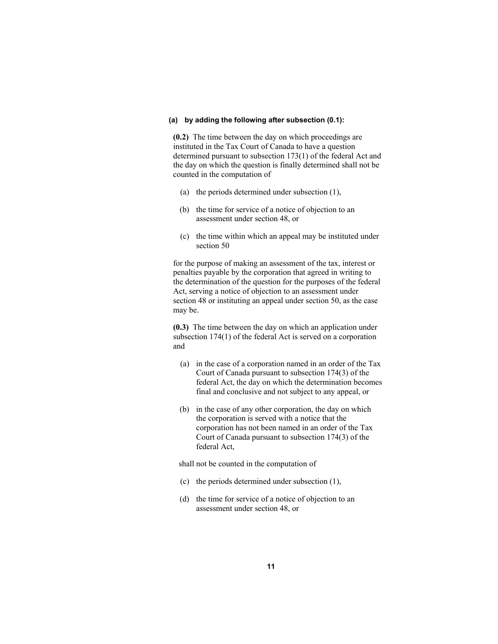#### **(a) by adding the following after subsection (0.1):**

**(0.2)** The time between the day on which proceedings are instituted in the Tax Court of Canada to have a question determined pursuant to subsection 173(1) of the federal Act and the day on which the question is finally determined shall not be counted in the computation of

- (a) the periods determined under subsection (1),
- (b) the time for service of a notice of objection to an assessment under section 48, or
- (c) the time within which an appeal may be instituted under section 50

for the purpose of making an assessment of the tax, interest or penalties payable by the corporation that agreed in writing to the determination of the question for the purposes of the federal Act, serving a notice of objection to an assessment under section 48 or instituting an appeal under section 50, as the case may be.

**(0.3)** The time between the day on which an application under subsection 174(1) of the federal Act is served on a corporation and

- (a) in the case of a corporation named in an order of the Tax Court of Canada pursuant to subsection 174(3) of the federal Act, the day on which the determination becomes final and conclusive and not subject to any appeal, or
- (b) in the case of any other corporation, the day on which the corporation is served with a notice that the corporation has not been named in an order of the Tax Court of Canada pursuant to subsection 174(3) of the federal Act,

shall not be counted in the computation of

- (c) the periods determined under subsection (1),
- (d) the time for service of a notice of objection to an assessment under section 48, or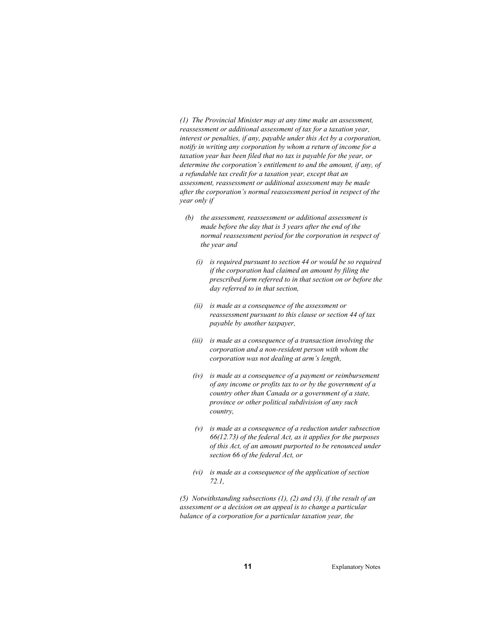*(1) The Provincial Minister may at any time make an assessment, reassessment or additional assessment of tax for a taxation year, interest or penalties, if any, payable under this Act by a corporation, notify in writing any corporation by whom a return of income for a taxation year has been filed that no tax is payable for the year, or determine the corporation's entitlement to and the amount, if any, of a refundable tax credit for a taxation year, except that an assessment, reassessment or additional assessment may be made after the corporation's normal reassessment period in respect of the year only if* 

- *(b) the assessment, reassessment or additional assessment is made before the day that is 3 years after the end of the normal reassessment period for the corporation in respect of the year and* 
	- *(i) is required pursuant to section 44 or would be so required if the corporation had claimed an amount by filing the prescribed form referred to in that section on or before the day referred to in that section,*
	- *(ii) is made as a consequence of the assessment or reassessment pursuant to this clause or section 44 of tax payable by another taxpayer,*
	- *(iii) is made as a consequence of a transaction involving the corporation and a non-resident person with whom the corporation was not dealing at arm's length,*
	- *(iv) is made as a consequence of a payment or reimbursement of any income or profits tax to or by the government of a country other than Canada or a government of a state, province or other political subdivision of any such country,*
	- *(v) is made as a consequence of a reduction under subsection 66(12.73) of the federal Act, as it applies for the purposes of this Act, of an amount purported to be renounced under section 66 of the federal Act, or*
	- *(vi) is made as a consequence of the application of section 72.1,*

*(5) Notwithstanding subsections (1), (2) and (3), if the result of an assessment or a decision on an appeal is to change a particular balance of a corporation for a particular taxation year, the*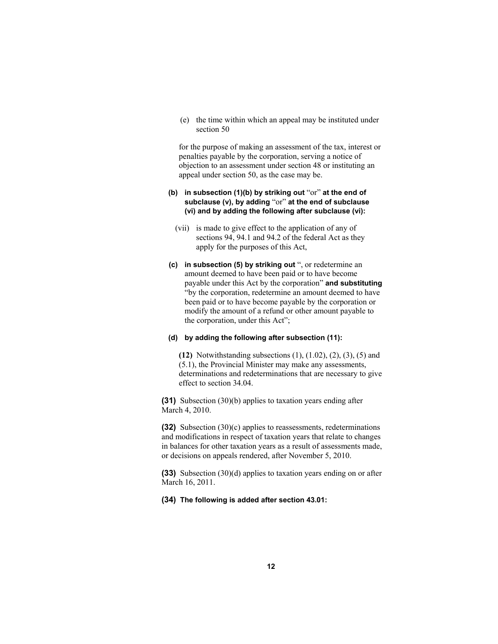(e) the time within which an appeal may be instituted under section 50

for the purpose of making an assessment of the tax, interest or penalties payable by the corporation, serving a notice of objection to an assessment under section 48 or instituting an appeal under section 50, as the case may be.

# **(b) in subsection (1)(b) by striking out** "or" **at the end of subclause (v), by adding** "or" **at the end of subclause (vi) and by adding the following after subclause (vi):**

- (vii) is made to give effect to the application of any of sections 94, 94.1 and 94.2 of the federal Act as they apply for the purposes of this Act,
- **(c) in subsection (5) by striking out** ", or redetermine an amount deemed to have been paid or to have become payable under this Act by the corporation" **and substituting**  "by the corporation, redetermine an amount deemed to have been paid or to have become payable by the corporation or modify the amount of a refund or other amount payable to the corporation, under this Act";

## **(d) by adding the following after subsection (11):**

**(12)** Notwithstanding subsections (1), (1.02), (2), (3), (5) and (5.1), the Provincial Minister may make any assessments, determinations and redeterminations that are necessary to give effect to section 34.04.

**(31)** Subsection (30)(b) applies to taxation years ending after March 4, 2010.

**(32)** Subsection (30)(c) applies to reassessments, redeterminations and modifications in respect of taxation years that relate to changes in balances for other taxation years as a result of assessments made, or decisions on appeals rendered, after November 5, 2010.

**(33)** Subsection (30)(d) applies to taxation years ending on or after March 16, 2011.

**(34) The following is added after section 43.01:**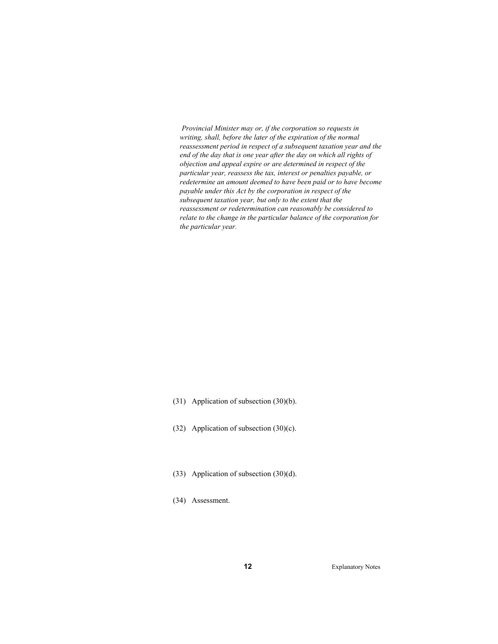*Provincial Minister may or, if the corporation so requests in writing, shall, before the later of the expiration of the normal reassessment period in respect of a subsequent taxation year and the end of the day that is one year after the day on which all rights of objection and appeal expire or are determined in respect of the particular year, reassess the tax, interest or penalties payable, or redetermine an amount deemed to have been paid or to have become payable under this Act by the corporation in respect of the subsequent taxation year, but only to the extent that the reassessment or redetermination can reasonably be considered to relate to the change in the particular balance of the corporation for the particular year.* 

- (31) Application of subsection (30)(b).
- (32) Application of subsection (30)(c).
- (33) Application of subsection (30)(d).
- (34) Assessment.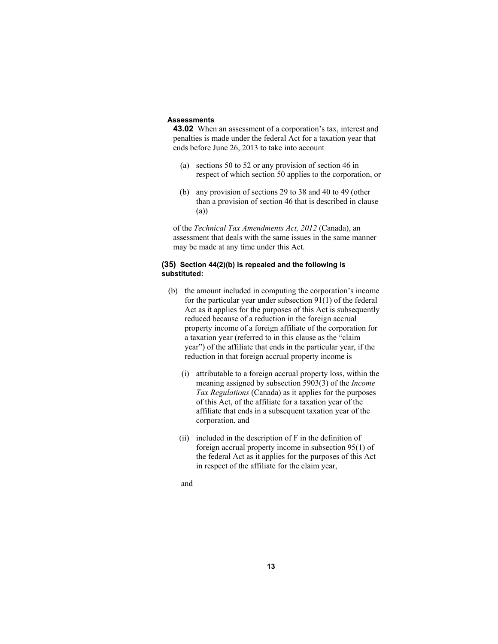#### **Assessments**

**43.02** When an assessment of a corporation's tax, interest and penalties is made under the federal Act for a taxation year that ends before June 26, 2013 to take into account

- (a) sections 50 to 52 or any provision of section 46 in respect of which section 50 applies to the corporation, or
- (b) any provision of sections 29 to 38 and 40 to 49 (other than a provision of section 46 that is described in clause (a))

of the *Technical Tax Amendments Act, 2012* (Canada), an assessment that deals with the same issues in the same manner may be made at any time under this Act.

# **(35) Section 44(2)(b) is repealed and the following is substituted:**

- (b) the amount included in computing the corporation's income for the particular year under subsection 91(1) of the federal Act as it applies for the purposes of this Act is subsequently reduced because of a reduction in the foreign accrual property income of a foreign affiliate of the corporation for a taxation year (referred to in this clause as the "claim year") of the affiliate that ends in the particular year, if the reduction in that foreign accrual property income is
	- (i) attributable to a foreign accrual property loss, within the meaning assigned by subsection 5903(3) of the *Income Tax Regulations* (Canada) as it applies for the purposes of this Act, of the affiliate for a taxation year of the affiliate that ends in a subsequent taxation year of the corporation, and
	- (ii) included in the description of F in the definition of foreign accrual property income in subsection 95(1) of the federal Act as it applies for the purposes of this Act in respect of the affiliate for the claim year,

and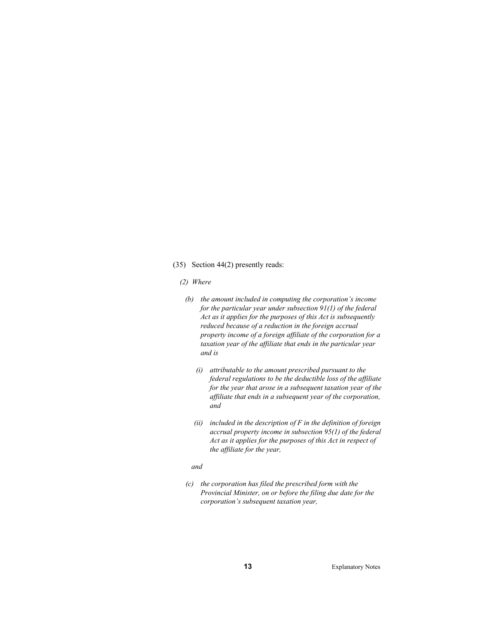#### (35) Section 44(2) presently reads:

#### *(2) Where*

- *(b) the amount included in computing the corporation's income for the particular year under subsection 91(1) of the federal Act as it applies for the purposes of this Act is subsequently reduced because of a reduction in the foreign accrual property income of a foreign affiliate of the corporation for a taxation year of the affiliate that ends in the particular year and is* 
	- *(i) attributable to the amount prescribed pursuant to the federal regulations to be the deductible loss of the affiliate for the year that arose in a subsequent taxation year of the affiliate that ends in a subsequent year of the corporation, and*
	- *(ii) included in the description of F in the definition of foreign accrual property income in subsection 95(1) of the federal Act as it applies for the purposes of this Act in respect of the affiliate for the year,*

#### *and*

 *(c) the corporation has filed the prescribed form with the Provincial Minister, on or before the filing due date for the corporation's subsequent taxation year,*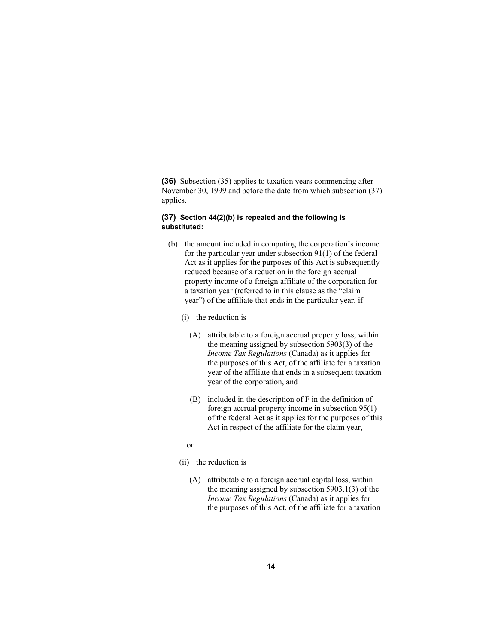**(36)** Subsection (35) applies to taxation years commencing after November 30, 1999 and before the date from which subsection (37) applies.

#### **(37) Section 44(2)(b) is repealed and the following is substituted:**

- (b) the amount included in computing the corporation's income for the particular year under subsection 91(1) of the federal Act as it applies for the purposes of this Act is subsequently reduced because of a reduction in the foreign accrual property income of a foreign affiliate of the corporation for a taxation year (referred to in this clause as the "claim year") of the affiliate that ends in the particular year, if
	- (i) the reduction is
		- (A) attributable to a foreign accrual property loss, within the meaning assigned by subsection 5903(3) of the *Income Tax Regulations* (Canada) as it applies for the purposes of this Act, of the affiliate for a taxation year of the affiliate that ends in a subsequent taxation year of the corporation, and
		- (B) included in the description of F in the definition of foreign accrual property income in subsection 95(1) of the federal Act as it applies for the purposes of this Act in respect of the affiliate for the claim year,
	- or
	- (ii) the reduction is
		- (A) attributable to a foreign accrual capital loss, within the meaning assigned by subsection 5903.1(3) of the *Income Tax Regulations* (Canada) as it applies for the purposes of this Act, of the affiliate for a taxation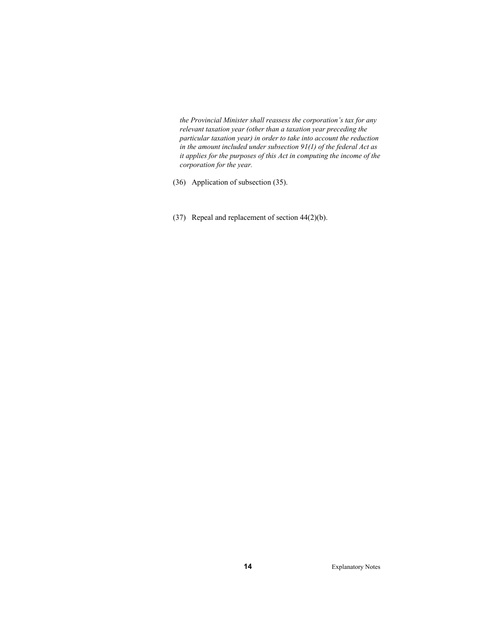*the Provincial Minister shall reassess the corporation's tax for any relevant taxation year (other than a taxation year preceding the particular taxation year) in order to take into account the reduction in the amount included under subsection 91(1) of the federal Act as it applies for the purposes of this Act in computing the income of the corporation for the year.* 

(36) Application of subsection (35).

(37) Repeal and replacement of section 44(2)(b).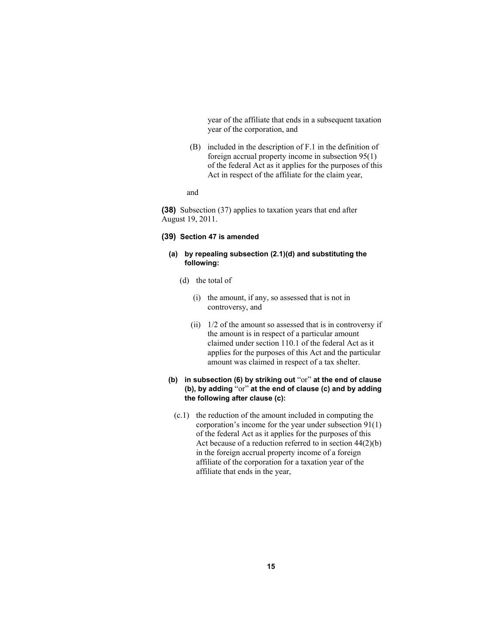year of the affiliate that ends in a subsequent taxation year of the corporation, and

- (B) included in the description of F.1 in the definition of foreign accrual property income in subsection 95(1) of the federal Act as it applies for the purposes of this Act in respect of the affiliate for the claim year,
- and

**(38)** Subsection (37) applies to taxation years that end after August 19, 2011.

# **(39) Section 47 is amended**

# **(a) by repealing subsection (2.1)(d) and substituting the following:**

- (d) the total of
	- (i) the amount, if any, so assessed that is not in controversy, and
	- (ii) 1/2 of the amount so assessed that is in controversy if the amount is in respect of a particular amount claimed under section 110.1 of the federal Act as it applies for the purposes of this Act and the particular amount was claimed in respect of a tax shelter.

# **(b) in subsection (6) by striking out** "or" **at the end of clause (b), by adding** "or" **at the end of clause (c) and by adding the following after clause (c):**

 (c.1) the reduction of the amount included in computing the corporation's income for the year under subsection 91(1) of the federal Act as it applies for the purposes of this Act because of a reduction referred to in section  $44(2)(b)$ in the foreign accrual property income of a foreign affiliate of the corporation for a taxation year of the affiliate that ends in the year,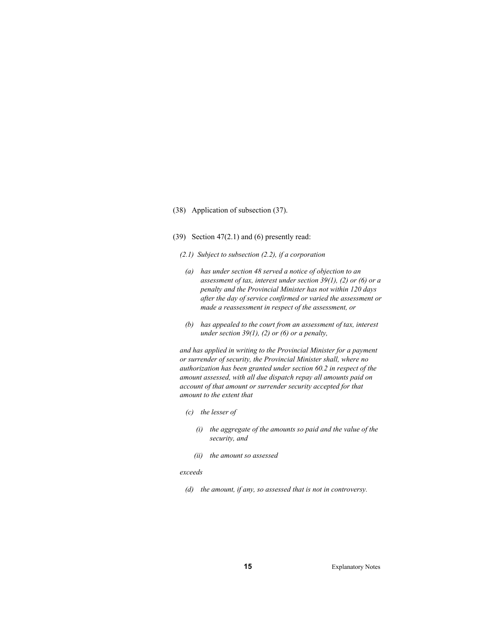## (38) Application of subsection (37).

- (39) Section  $47(2.1)$  and (6) presently read:
	- *(2.1) Subject to subsection (2.2), if a corporation*
	- *(a) has under section 48 served a notice of objection to an assessment of tax, interest under section 39(1), (2) or (6) or a penalty and the Provincial Minister has not within 120 days after the day of service confirmed or varied the assessment or made a reassessment in respect of the assessment, or*
	- *(b) has appealed to the court from an assessment of tax, interest under section 39(1), (2) or (6) or a penalty,*

*and has applied in writing to the Provincial Minister for a payment or surrender of security, the Provincial Minister shall, where no authorization has been granted under section 60.2 in respect of the amount assessed, with all due dispatch repay all amounts paid on account of that amount or surrender security accepted for that amount to the extent that* 

- *(c) the lesser of* 
	- *(i) the aggregate of the amounts so paid and the value of the security, and*
	- *(ii) the amount so assessed*

#### *exceeds*

 *(d) the amount, if any, so assessed that is not in controversy.*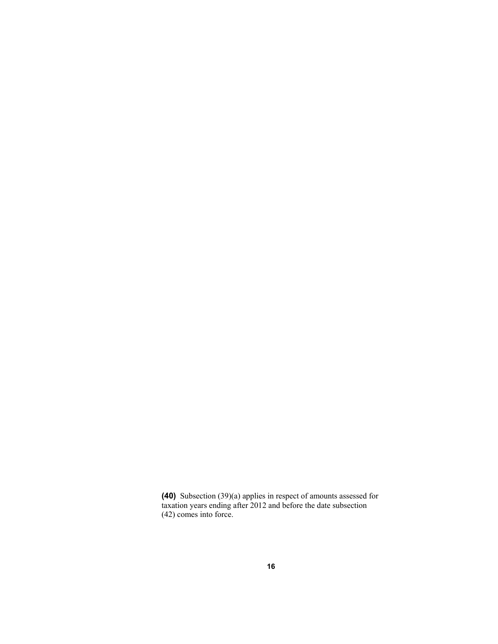**(40)** Subsection (39)(a) applies in respect of amounts assessed for taxation years ending after 2012 and before the date subsection (42) comes into force.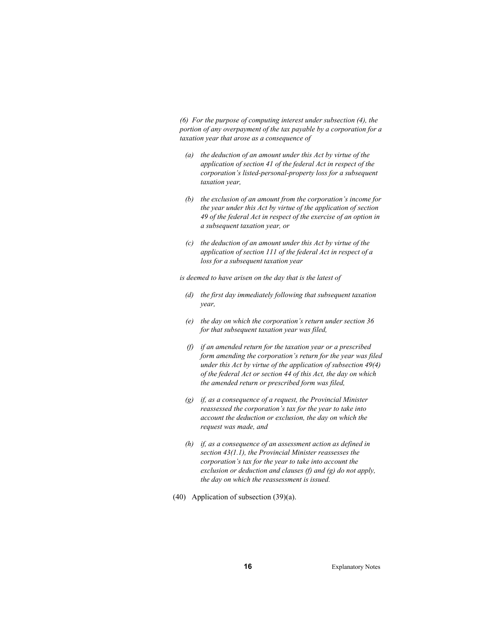*(6) For the purpose of computing interest under subsection (4), the portion of any overpayment of the tax payable by a corporation for a taxation year that arose as a consequence of* 

- *(a) the deduction of an amount under this Act by virtue of the application of section 41 of the federal Act in respect of the corporation's listed-personal-property loss for a subsequent taxation year,*
- *(b) the exclusion of an amount from the corporation's income for the year under this Act by virtue of the application of section 49 of the federal Act in respect of the exercise of an option in a subsequent taxation year, or*
- *(c) the deduction of an amount under this Act by virtue of the application of section 111 of the federal Act in respect of a loss for a subsequent taxation year*

*is deemed to have arisen on the day that is the latest of* 

- *(d) the first day immediately following that subsequent taxation year,*
- *(e) the day on which the corporation's return under section 36 for that subsequent taxation year was filed,*
- *(f) if an amended return for the taxation year or a prescribed form amending the corporation's return for the year was filed under this Act by virtue of the application of subsection 49(4) of the federal Act or section 44 of this Act, the day on which the amended return or prescribed form was filed,*
- *(g) if, as a consequence of a request, the Provincial Minister reassessed the corporation's tax for the year to take into account the deduction or exclusion, the day on which the request was made, and*
- *(h) if, as a consequence of an assessment action as defined in section 43(1.1), the Provincial Minister reassesses the corporation's tax for the year to take into account the exclusion or deduction and clauses (f) and (g) do not apply, the day on which the reassessment is issued.*
- (40) Application of subsection (39)(a).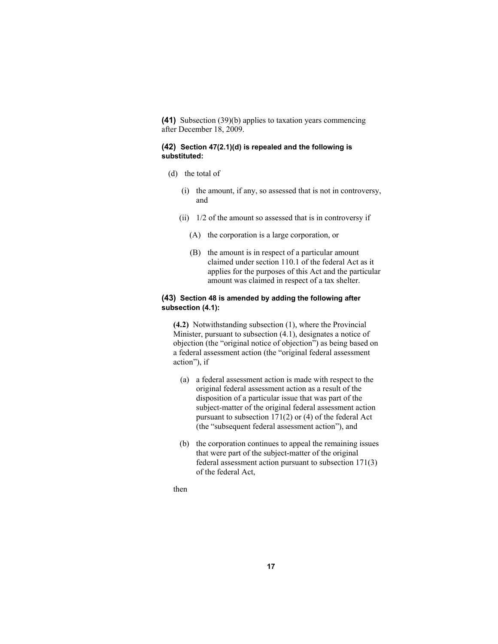**(41)** Subsection (39)(b) applies to taxation years commencing after December 18, 2009.

# **(42) Section 47(2.1)(d) is repealed and the following is substituted:**

- (d) the total of
	- (i) the amount, if any, so assessed that is not in controversy, and
	- (ii)  $1/2$  of the amount so assessed that is in controversy if
		- (A) the corporation is a large corporation, or
		- (B) the amount is in respect of a particular amount claimed under section 110.1 of the federal Act as it applies for the purposes of this Act and the particular amount was claimed in respect of a tax shelter.

#### **(43) Section 48 is amended by adding the following after subsection (4.1):**

**(4.2)** Notwithstanding subsection (1), where the Provincial Minister, pursuant to subsection (4.1), designates a notice of objection (the "original notice of objection") as being based on a federal assessment action (the "original federal assessment action"), if

- (a) a federal assessment action is made with respect to the original federal assessment action as a result of the disposition of a particular issue that was part of the subject-matter of the original federal assessment action pursuant to subsection 171(2) or (4) of the federal Act (the "subsequent federal assessment action"), and
- (b) the corporation continues to appeal the remaining issues that were part of the subject-matter of the original federal assessment action pursuant to subsection 171(3) of the federal Act,

then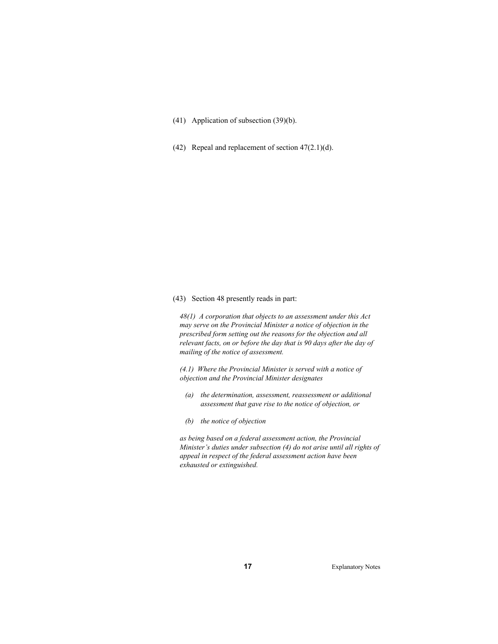(41) Application of subsection (39)(b).

(42) Repeal and replacement of section 47(2.1)(d).

(43) Section 48 presently reads in part:

*48(1) A corporation that objects to an assessment under this Act may serve on the Provincial Minister a notice of objection in the prescribed form setting out the reasons for the objection and all relevant facts, on or before the day that is 90 days after the day of mailing of the notice of assessment.* 

*(4.1) Where the Provincial Minister is served with a notice of objection and the Provincial Minister designates* 

- *(a) the determination, assessment, reassessment or additional assessment that gave rise to the notice of objection, or*
- *(b) the notice of objection*

*as being based on a federal assessment action, the Provincial Minister's duties under subsection (4) do not arise until all rights of appeal in respect of the federal assessment action have been exhausted or extinguished.*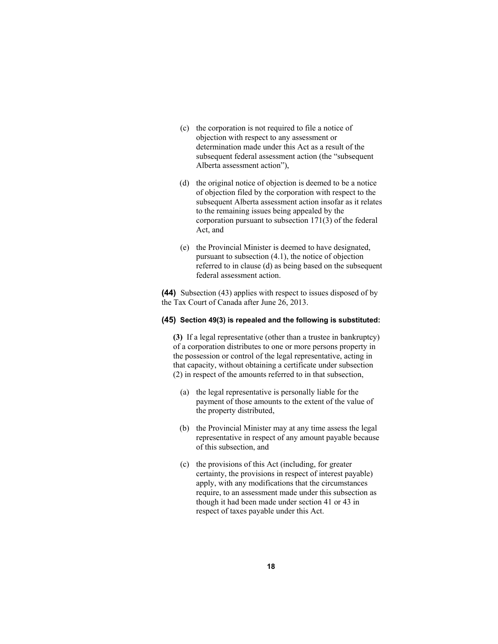- (c) the corporation is not required to file a notice of objection with respect to any assessment or determination made under this Act as a result of the subsequent federal assessment action (the "subsequent Alberta assessment action"),
- (d) the original notice of objection is deemed to be a notice of objection filed by the corporation with respect to the subsequent Alberta assessment action insofar as it relates to the remaining issues being appealed by the corporation pursuant to subsection 171(3) of the federal Act, and
- (e) the Provincial Minister is deemed to have designated, pursuant to subsection (4.1), the notice of objection referred to in clause (d) as being based on the subsequent federal assessment action.

**(44)** Subsection (43) applies with respect to issues disposed of by the Tax Court of Canada after June 26, 2013.

#### **(45) Section 49(3) is repealed and the following is substituted:**

**(3)** If a legal representative (other than a trustee in bankruptcy) of a corporation distributes to one or more persons property in the possession or control of the legal representative, acting in that capacity, without obtaining a certificate under subsection (2) in respect of the amounts referred to in that subsection,

- (a) the legal representative is personally liable for the payment of those amounts to the extent of the value of the property distributed,
- (b) the Provincial Minister may at any time assess the legal representative in respect of any amount payable because of this subsection, and
- (c) the provisions of this Act (including, for greater certainty, the provisions in respect of interest payable) apply, with any modifications that the circumstances require, to an assessment made under this subsection as though it had been made under section 41 or 43 in respect of taxes payable under this Act.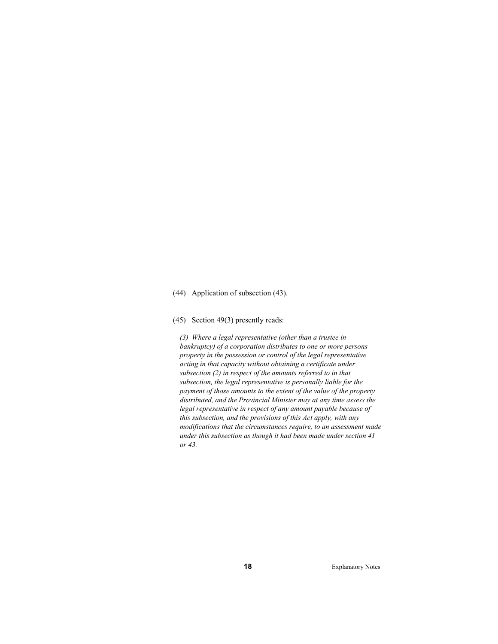#### (44) Application of subsection (43).

#### (45) Section 49(3) presently reads:

*(3) Where a legal representative (other than a trustee in bankruptcy) of a corporation distributes to one or more persons property in the possession or control of the legal representative acting in that capacity without obtaining a certificate under subsection (2) in respect of the amounts referred to in that subsection, the legal representative is personally liable for the payment of those amounts to the extent of the value of the property distributed, and the Provincial Minister may at any time assess the legal representative in respect of any amount payable because of this subsection, and the provisions of this Act apply, with any modifications that the circumstances require, to an assessment made under this subsection as though it had been made under section 41 or 43.*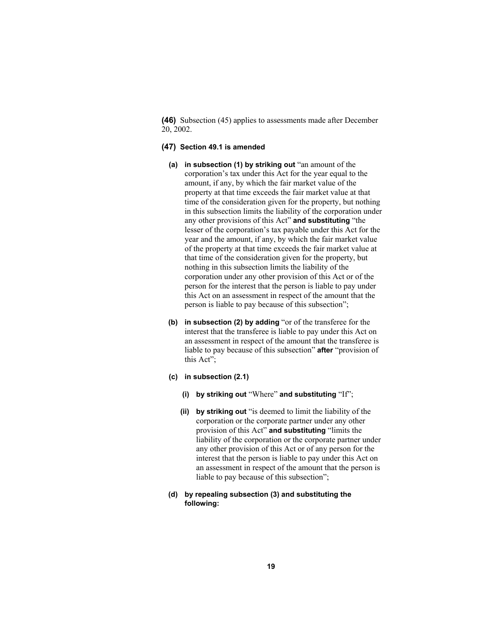**(46)** Subsection (45) applies to assessments made after December 20, 2002.

#### **(47) Section 49.1 is amended**

- **(a) in subsection (1) by striking out** "an amount of the corporation's tax under this Act for the year equal to the amount, if any, by which the fair market value of the property at that time exceeds the fair market value at that time of the consideration given for the property, but nothing in this subsection limits the liability of the corporation under any other provisions of this Act" **and substituting** "the lesser of the corporation's tax payable under this Act for the year and the amount, if any, by which the fair market value of the property at that time exceeds the fair market value at that time of the consideration given for the property, but nothing in this subsection limits the liability of the corporation under any other provision of this Act or of the person for the interest that the person is liable to pay under this Act on an assessment in respect of the amount that the person is liable to pay because of this subsection";
- **(b) in subsection (2) by adding** "or of the transferee for the interest that the transferee is liable to pay under this Act on an assessment in respect of the amount that the transferee is liable to pay because of this subsection" **after** "provision of this Act";
- **(c) in subsection (2.1)** 
	- **(i) by striking out** "Where" **and substituting** "If";
	- **(ii) by striking out** "is deemed to limit the liability of the corporation or the corporate partner under any other provision of this Act" **and substituting** "limits the liability of the corporation or the corporate partner under any other provision of this Act or of any person for the interest that the person is liable to pay under this Act on an assessment in respect of the amount that the person is liable to pay because of this subsection";
- **(d) by repealing subsection (3) and substituting the following:**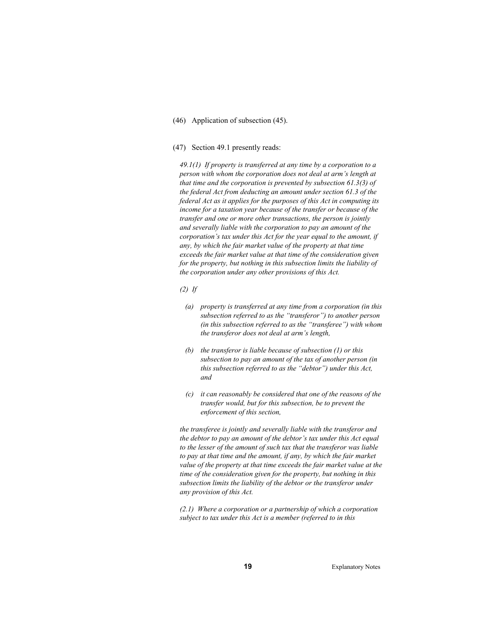(46) Application of subsection (45).

#### (47) Section 49.1 presently reads:

*49.1(1) If property is transferred at any time by a corporation to a person with whom the corporation does not deal at arm's length at that time and the corporation is prevented by subsection 61.3(3) of the federal Act from deducting an amount under section 61.3 of the federal Act as it applies for the purposes of this Act in computing its income for a taxation year because of the transfer or because of the transfer and one or more other transactions, the person is jointly and severally liable with the corporation to pay an amount of the corporation's tax under this Act for the year equal to the amount, if any, by which the fair market value of the property at that time exceeds the fair market value at that time of the consideration given for the property, but nothing in this subsection limits the liability of the corporation under any other provisions of this Act.* 

*(2) If* 

- *(a) property is transferred at any time from a corporation (in this subsection referred to as the "transferor") to another person (in this subsection referred to as the "transferee") with whom the transferor does not deal at arm's length,*
- *(b) the transferor is liable because of subsection (1) or this subsection to pay an amount of the tax of another person (in this subsection referred to as the "debtor") under this Act, and*
- *(c) it can reasonably be considered that one of the reasons of the transfer would, but for this subsection, be to prevent the enforcement of this section,*

*the transferee is jointly and severally liable with the transferor and the debtor to pay an amount of the debtor's tax under this Act equal to the lesser of the amount of such tax that the transferor was liable to pay at that time and the amount, if any, by which the fair market value of the property at that time exceeds the fair market value at the time of the consideration given for the property, but nothing in this subsection limits the liability of the debtor or the transferor under any provision of this Act.* 

*(2.1) Where a corporation or a partnership of which a corporation subject to tax under this Act is a member (referred to in this*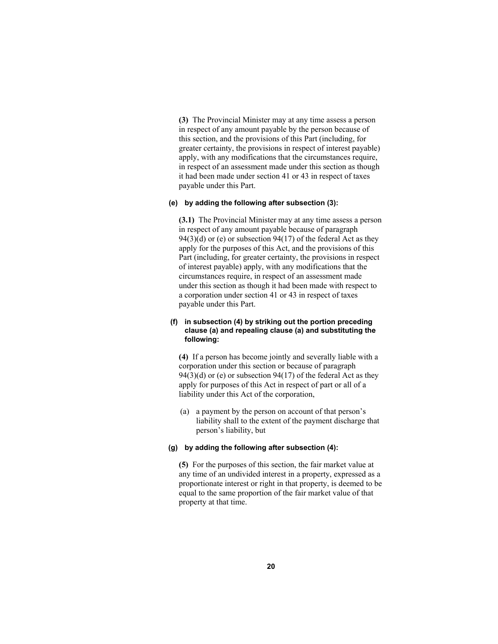**(3)** The Provincial Minister may at any time assess a person in respect of any amount payable by the person because of this section, and the provisions of this Part (including, for greater certainty, the provisions in respect of interest payable) apply, with any modifications that the circumstances require, in respect of an assessment made under this section as though it had been made under section 41 or 43 in respect of taxes payable under this Part.

# **(e) by adding the following after subsection (3):**

**(3.1)** The Provincial Minister may at any time assess a person in respect of any amount payable because of paragraph  $94(3)(d)$  or (e) or subsection  $94(17)$  of the federal Act as they apply for the purposes of this Act, and the provisions of this Part (including, for greater certainty, the provisions in respect of interest payable) apply, with any modifications that the circumstances require, in respect of an assessment made under this section as though it had been made with respect to a corporation under section 41 or 43 in respect of taxes payable under this Part.

# **(f) in subsection (4) by striking out the portion preceding clause (a) and repealing clause (a) and substituting the following:**

**(4)** If a person has become jointly and severally liable with a corporation under this section or because of paragraph  $94(3)(d)$  or (e) or subsection  $94(17)$  of the federal Act as they apply for purposes of this Act in respect of part or all of a liability under this Act of the corporation,

 (a) a payment by the person on account of that person's liability shall to the extent of the payment discharge that person's liability, but

# **(g) by adding the following after subsection (4):**

**(5)** For the purposes of this section, the fair market value at any time of an undivided interest in a property, expressed as a proportionate interest or right in that property, is deemed to be equal to the same proportion of the fair market value of that property at that time.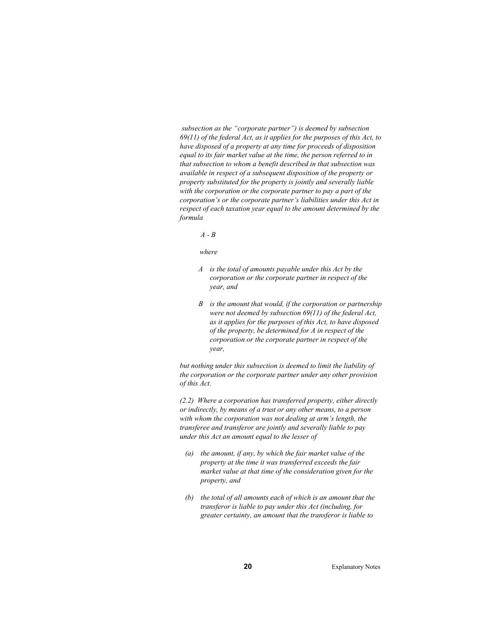*subsection as the "corporate partner") is deemed by subsection 69(11) of the federal Act, as it applies for the purposes of this Act, to have disposed of a property at any time for proceeds of disposition equal to its fair market value at the time, the person referred to in that subsection to whom a benefit described in that subsection was available in respect of a subsequent disposition of the property or property substituted for the property is jointly and severally liable with the corporation or the corporate partner to pay a part of the corporation's or the corporate partner's liabilities under this Act in respect of each taxation year equal to the amount determined by the formula* 

#### *A - B*

#### *where*

- *A is the total of amounts payable under this Act by the corporation or the corporate partner in respect of the year, and*
- *B is the amount that would, if the corporation or partnership were not deemed by subsection 69(11) of the federal Act, as it applies for the purposes of this Act, to have disposed of the property, be determined for A in respect of the corporation or the corporate partner in respect of the year,*

*but nothing under this subsection is deemed to limit the liability of the corporation or the corporate partner under any other provision of this Act.* 

*(2.2) Where a corporation has transferred property, either directly or indirectly, by means of a trust or any other means, to a person with whom the corporation was not dealing at arm's length, the transferee and transferor are jointly and severally liable to pay under this Act an amount equal to the lesser of* 

- *(a) the amount, if any, by which the fair market value of the property at the time it was transferred exceeds the fair market value at that time of the consideration given for the property, and*
- *(b) the total of all amounts each of which is an amount that the transferor is liable to pay under this Act (including, for greater certainty, an amount that the transferor is liable to*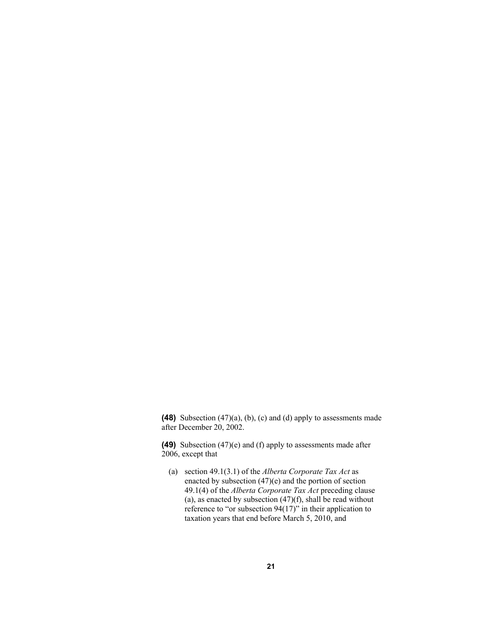**(48)** Subsection (47)(a), (b), (c) and (d) apply to assessments made after December 20, 2002.

**(49)** Subsection (47)(e) and (f) apply to assessments made after 2006, except that

 (a) section 49.1(3.1) of the *Alberta Corporate Tax Act* as enacted by subsection (47)(e) and the portion of section 49.1(4) of the *Alberta Corporate Tax Act* preceding clause (a), as enacted by subsection  $(47)(f)$ , shall be read without reference to "or subsection 94(17)" in their application to taxation years that end before March 5, 2010, and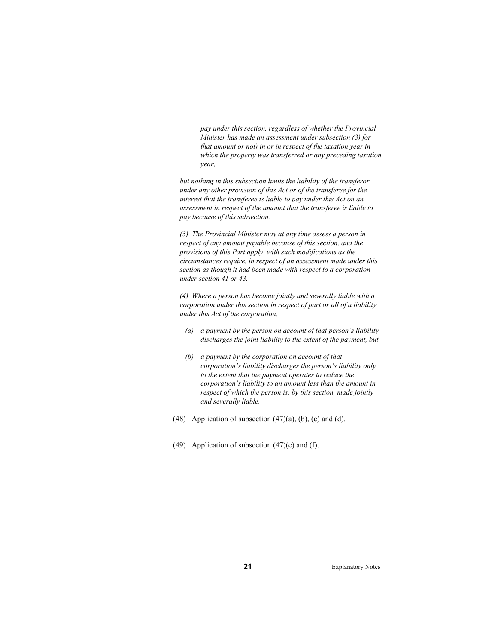*pay under this section, regardless of whether the Provincial Minister has made an assessment under subsection (3) for that amount or not) in or in respect of the taxation year in which the property was transferred or any preceding taxation year,* 

*but nothing in this subsection limits the liability of the transferor under any other provision of this Act or of the transferee for the interest that the transferee is liable to pay under this Act on an assessment in respect of the amount that the transferee is liable to pay because of this subsection.* 

*(3) The Provincial Minister may at any time assess a person in respect of any amount payable because of this section, and the provisions of this Part apply, with such modifications as the circumstances require, in respect of an assessment made under this section as though it had been made with respect to a corporation under section 41 or 43.* 

*(4) Where a person has become jointly and severally liable with a corporation under this section in respect of part or all of a liability under this Act of the corporation,* 

- *(a) a payment by the person on account of that person's liability discharges the joint liability to the extent of the payment, but*
- *(b) a payment by the corporation on account of that corporation's liability discharges the person's liability only to the extent that the payment operates to reduce the corporation's liability to an amount less than the amount in respect of which the person is, by this section, made jointly and severally liable.*
- (48) Application of subsection  $(47)(a)$ ,  $(b)$ ,  $(c)$  and  $(d)$ .
- (49) Application of subsection  $(47)(e)$  and  $(f)$ .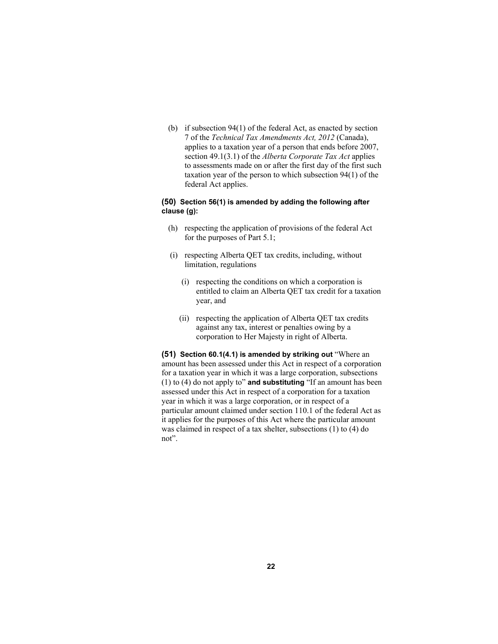(b) if subsection 94(1) of the federal Act, as enacted by section 7 of the *Technical Tax Amendments Act, 2012* (Canada), applies to a taxation year of a person that ends before 2007, section 49.1(3.1) of the *Alberta Corporate Tax Act* applies to assessments made on or after the first day of the first such taxation year of the person to which subsection 94(1) of the federal Act applies.

# **(50) Section 56(1) is amended by adding the following after clause (g):**

- (h) respecting the application of provisions of the federal Act for the purposes of Part 5.1;
- (i) respecting Alberta QET tax credits, including, without limitation, regulations
	- (i) respecting the conditions on which a corporation is entitled to claim an Alberta QET tax credit for a taxation year, and
	- (ii) respecting the application of Alberta QET tax credits against any tax, interest or penalties owing by a corporation to Her Majesty in right of Alberta.

**(51) Section 60.1(4.1) is amended by striking out** "Where an amount has been assessed under this Act in respect of a corporation for a taxation year in which it was a large corporation, subsections (1) to (4) do not apply to" **and substituting** "If an amount has been assessed under this Act in respect of a corporation for a taxation year in which it was a large corporation, or in respect of a particular amount claimed under section 110.1 of the federal Act as it applies for the purposes of this Act where the particular amount was claimed in respect of a tax shelter, subsections (1) to (4) do not".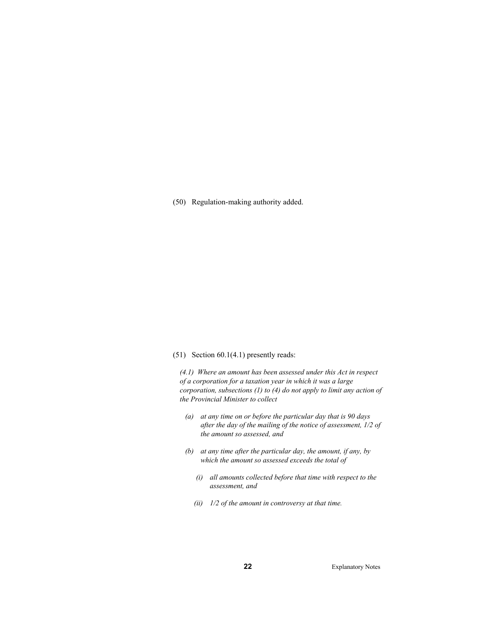(50) Regulation-making authority added.

#### (51) Section 60.1(4.1) presently reads:

*(4.1) Where an amount has been assessed under this Act in respect of a corporation for a taxation year in which it was a large corporation, subsections (1) to (4) do not apply to limit any action of the Provincial Minister to collect* 

- *(a) at any time on or before the particular day that is 90 days after the day of the mailing of the notice of assessment, 1/2 of the amount so assessed, and*
- *(b) at any time after the particular day, the amount, if any, by which the amount so assessed exceeds the total of* 
	- *(i) all amounts collected before that time with respect to the assessment, and*
	- *(ii) 1/2 of the amount in controversy at that time.*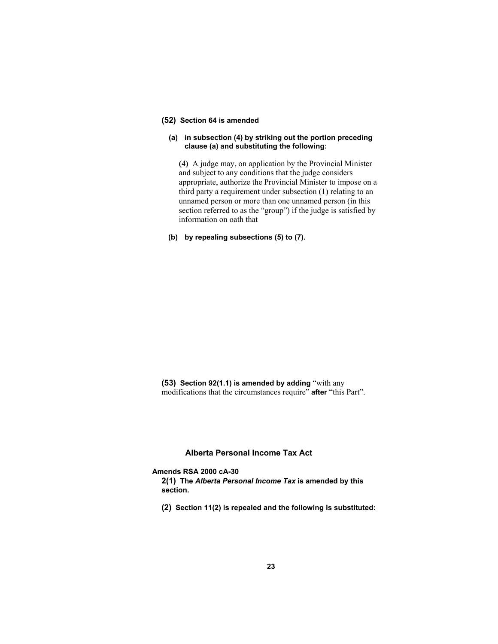# **(52) Section 64 is amended**

# **(a) in subsection (4) by striking out the portion preceding clause (a) and substituting the following:**

**(4)** A judge may, on application by the Provincial Minister and subject to any conditions that the judge considers appropriate, authorize the Provincial Minister to impose on a third party a requirement under subsection (1) relating to an unnamed person or more than one unnamed person (in this section referred to as the "group") if the judge is satisfied by information on oath that

# **(b) by repealing subsections (5) to (7).**

**(53) Section 92(1.1) is amended by adding** "with any modifications that the circumstances require" **after** "this Part".

# **Alberta Personal Income Tax Act**

**Amends RSA 2000 cA-30** 

**2(1) The** *Alberta Personal Income Tax* **is amended by this section.**

**(2) Section 11(2) is repealed and the following is substituted:**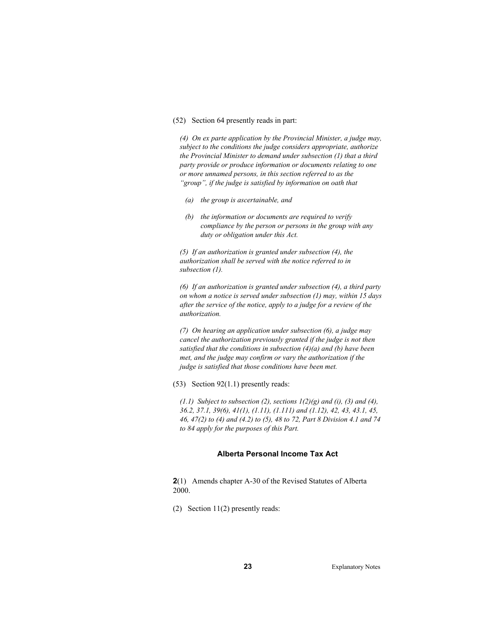#### (52) Section 64 presently reads in part:

*(4) On ex parte application by the Provincial Minister, a judge may, subject to the conditions the judge considers appropriate, authorize the Provincial Minister to demand under subsection (1) that a third party provide or produce information or documents relating to one or more unnamed persons, in this section referred to as the "group", if the judge is satisfied by information on oath that* 

- *(a) the group is ascertainable, and*
- *(b) the information or documents are required to verify compliance by the person or persons in the group with any duty or obligation under this Act.*

*(5) If an authorization is granted under subsection (4), the authorization shall be served with the notice referred to in subsection (1).* 

*(6) If an authorization is granted under subsection (4), a third party on whom a notice is served under subsection (1) may, within 15 days after the service of the notice, apply to a judge for a review of the authorization.* 

*(7) On hearing an application under subsection (6), a judge may cancel the authorization previously granted if the judge is not then satisfied that the conditions in subsection (4)(a) and (b) have been met, and the judge may confirm or vary the authorization if the judge is satisfied that those conditions have been met.* 

#### (53) Section 92(1.1) presently reads:

*(1.1)* Subject to subsection (2), sections  $1(2)(g)$  and (i), (3) and (4), *36.2, 37.1, 39(6), 41(1), (1.11), (1.111) and (1.12), 42, 43, 43.1, 45, 46, 47(2) to (4) and (4.2) to (5), 48 to 72, Part 8 Division 4.1 and 74 to 84 apply for the purposes of this Part.* 

#### **Alberta Personal Income Tax Act**

**2**(1) Amends chapter A-30 of the Revised Statutes of Alberta 2000.

(2) Section 11(2) presently reads: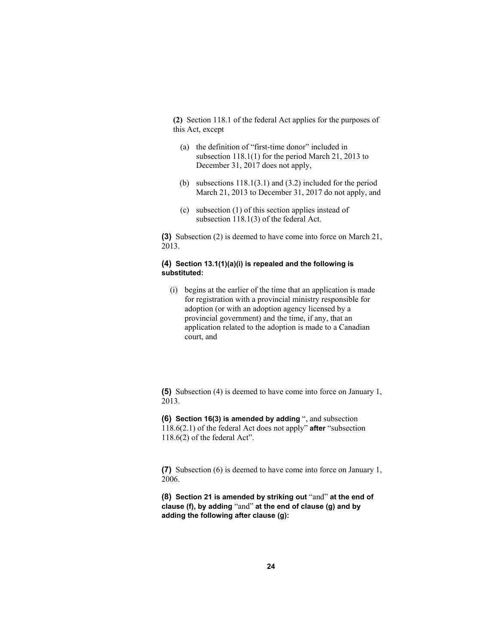**(2)** Section 118.1 of the federal Act applies for the purposes of this Act, except

- (a) the definition of "first-time donor" included in subsection 118.1(1) for the period March 21, 2013 to December 31, 2017 does not apply,
- (b) subsections 118.1(3.1) and (3.2) included for the period March 21, 2013 to December 31, 2017 do not apply, and
- (c) subsection (1) of this section applies instead of subsection 118.1(3) of the federal Act.

**(3)** Subsection (2) is deemed to have come into force on March 21, 2013.

### **(4) Section 13.1(1)(a)(i) is repealed and the following is substituted:**

 (i) begins at the earlier of the time that an application is made for registration with a provincial ministry responsible for adoption (or with an adoption agency licensed by a provincial government) and the time, if any, that an application related to the adoption is made to a Canadian court, and

**(5)** Subsection (4) is deemed to have come into force on January 1, 2013.

**(6) Section 16(3) is amended by adding** ", and subsection 118.6(2.1) of the federal Act does not apply" **after** "subsection 118.6(2) of the federal Act".

**(7)** Subsection (6) is deemed to have come into force on January 1, 2006.

**(8) Section 21 is amended by striking out** "and" **at the end of clause (f), by adding** "and" **at the end of clause (g) and by adding the following after clause (g):**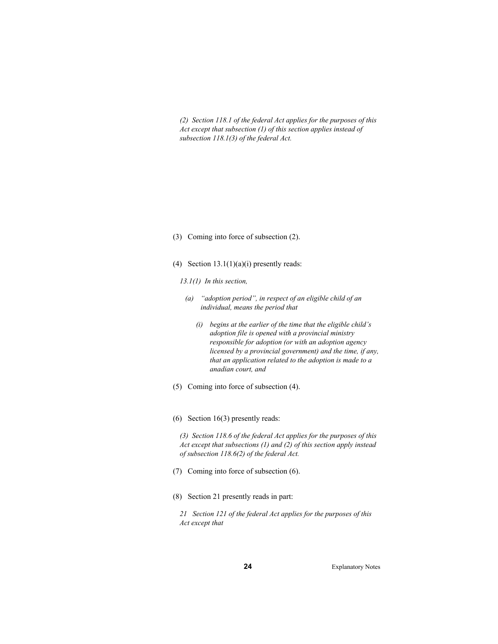*(2) Section 118.1 of the federal Act applies for the purposes of this Act except that subsection (1) of this section applies instead of subsection 118.1(3) of the federal Act.* 

- (3) Coming into force of subsection (2).
- (4) Section  $13.1(1)(a)(i)$  presently reads:
	- *13.1(1) In this section,*
	- *(a) "adoption period", in respect of an eligible child of an individual, means the period that* 
		- *(i) begins at the earlier of the time that the eligible child's adoption file is opened with a provincial ministry responsible for adoption (or with an adoption agency licensed by a provincial government) and the time, if any, that an application related to the adoption is made to a anadian court, and*
- (5) Coming into force of subsection (4).
- (6) Section 16(3) presently reads:

*(3) Section 118.6 of the federal Act applies for the purposes of this Act except that subsections (1) and (2) of this section apply instead of subsection 118.6(2) of the federal Act.* 

- (7) Coming into force of subsection (6).
- (8) Section 21 presently reads in part:

*21 Section 121 of the federal Act applies for the purposes of this Act except that*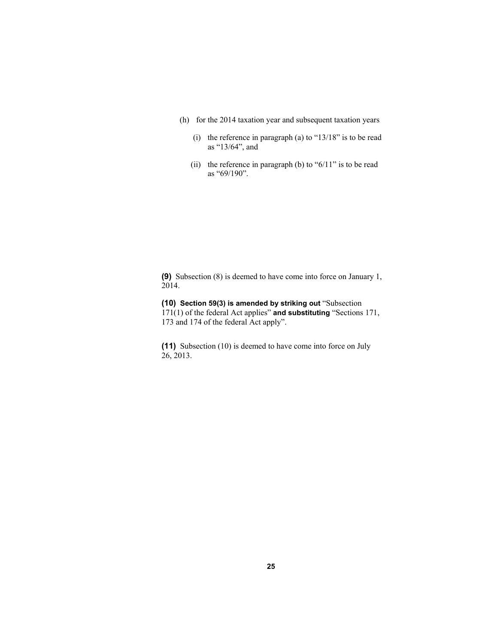- (h) for the 2014 taxation year and subsequent taxation years
	- (i) the reference in paragraph (a) to "13/18" is to be read as "13/64", and
	- (ii) the reference in paragraph (b) to " $6/11$ " is to be read as "69/190".

**(9)** Subsection (8) is deemed to have come into force on January 1, 2014.

**(10) Section 59(3) is amended by striking out** "Subsection 171(1) of the federal Act applies" **and substituting** "Sections 171, 173 and 174 of the federal Act apply".

**(11)** Subsection (10) is deemed to have come into force on July 26, 2013.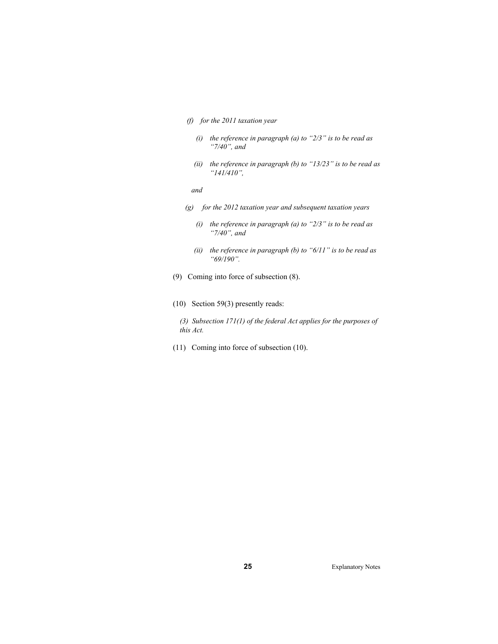- *(f) for the 2011 taxation year* 
	- *(i) the reference in paragraph (a) to "2/3" is to be read as "7/40", and*
	- *(ii) the reference in paragraph (b) to "13/23" is to be read as "141/410",*

 *and* 

- *(g) for the 2012 taxation year and subsequent taxation years* 
	- *(i) the reference in paragraph (a) to "2/3" is to be read as "7/40", and*
	- *(ii) the reference in paragraph (b) to "6/11" is to be read as "69/190".*
- (9) Coming into force of subsection (8).
- (10) Section 59(3) presently reads:
	- *(3) Subsection 171(1) of the federal Act applies for the purposes of this Act.*
- (11) Coming into force of subsection (10).